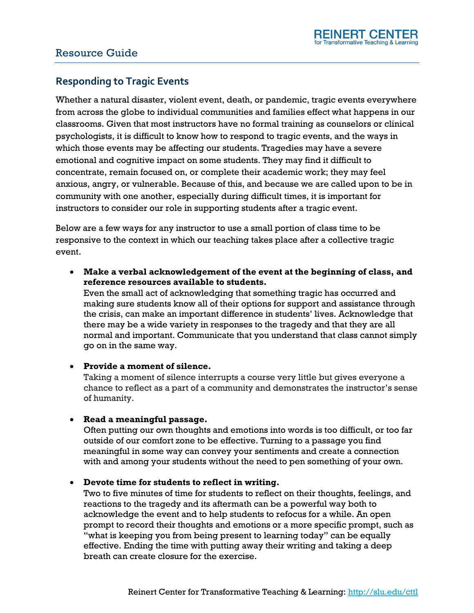# Resource Guide

# **Responding to Tragic Events**

Whether a natural disaster, violent event, death, or pandemic, tragic events everywhere from across the globe to individual communities and families effect what happens in our classrooms. Given that most instructors have no formal training as counselors or clinical psychologists, it is difficult to know how to respond to tragic events, and the ways in which those events may be affecting our students. Tragedies may have a severe emotional and cognitive impact on some students. They may find it difficult to concentrate, remain focused on, or complete their academic work; they may feel anxious, angry, or vulnerable. Because of this, and because we are called upon to be in community with one another, especially during difficult times, it is important for instructors to consider our role in supporting students after a tragic event.

Below are a few ways for any instructor to use a small portion of class time to be responsive to the context in which our teaching takes place after a collective tragic event.

 **Make a verbal acknowledgement of the event at the beginning of class, and reference resources available to students.** 

Even the small act of acknowledging that something tragic has occurred and making sure students know all of their options for support and assistance through the crisis, can make an important difference in students' lives. Acknowledge that there may be a wide variety in responses to the tragedy and that they are all normal and important. Communicate that you understand that class cannot simply go on in the same way.

## **Provide a moment of silence.**

Taking a moment of silence interrupts a course very little but gives everyone a chance to reflect as a part of a community and demonstrates the instructor's sense of humanity.

## **Read a meaningful passage.**

Often putting our own thoughts and emotions into words is too difficult, or too far outside of our comfort zone to be effective. Turning to a passage you find meaningful in some way can convey your sentiments and create a connection with and among your students without the need to pen something of your own.

#### **Devote time for students to reflect in writing.**

Two to five minutes of time for students to reflect on their thoughts, feelings, and reactions to the tragedy and its aftermath can be a powerful way both to acknowledge the event and to help students to refocus for a while. An open prompt to record their thoughts and emotions or a more specific prompt, such as "what is keeping you from being present to learning today" can be equally effective. Ending the time with putting away their writing and taking a deep breath can create closure for the exercise.